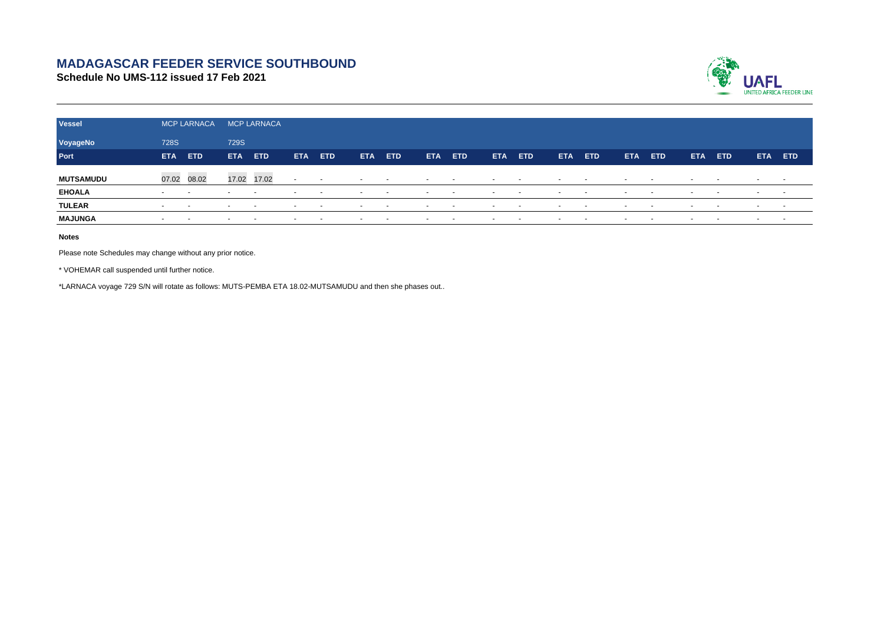## **MADAGASCAR FEEDER SERVICE SOUTHBOUND**

**Schedule No UMS-112 issued 17 Feb 2021**



| <b>Vessel</b>    | <b>MCP LARNACA</b>       |                          |                          | MCP LARNACA              |            |                          |                          |            |                          |                          |                          |               |                          |            |                          |        |            |                          |                          |        |
|------------------|--------------------------|--------------------------|--------------------------|--------------------------|------------|--------------------------|--------------------------|------------|--------------------------|--------------------------|--------------------------|---------------|--------------------------|------------|--------------------------|--------|------------|--------------------------|--------------------------|--------|
| VoyageNo         | <b>728S</b>              |                          | <b>729S</b>              |                          |            |                          |                          |            |                          |                          |                          |               |                          |            |                          |        |            |                          |                          |        |
| Port             | <b>ETA</b>               | ETD                      | <b>ETA</b>               | <b>ETD</b>               | <b>ETA</b> | ETD.                     | <b>ETA</b>               | <b>ETD</b> | <b>ETA</b>               | <b>ETD</b>               | <b>ETA</b>               | ETD           | ETA.                     | <b>ETD</b> | <b>ETA</b>               | ETD    | <b>ETA</b> | ETD.                     | <b>ETA</b>               | ETD    |
| <b>MUTSAMUDU</b> | 07.02 08.02              |                          | 17.02                    | 17.02                    | $\sim$     | $\sim$                   | $\sim$                   | $\sim$     | $\sim$                   | $\sim$                   | $\overline{\phantom{a}}$ | $\sim$        | $\overline{\phantom{a}}$ |            | $\overline{\phantom{0}}$ | $\sim$ | $\sim$     | $\overline{\phantom{a}}$ | $\overline{\phantom{0}}$ | $\sim$ |
| <b>EHOALA</b>    | $\sim$                   |                          |                          | $\overline{\phantom{a}}$ |            |                          | $\overline{\phantom{a}}$ |            | $\overline{\phantom{a}}$ |                          |                          |               |                          |            |                          |        |            | $\overline{\phantom{a}}$ |                          | $\sim$ |
| <b>TULEAR</b>    | $\sim$                   | $\sim$                   | $\sim$                   | $\sim$                   | $\sim$     | $\sim$                   | $\sim$                   | $\sim$     | $\sim$                   | $\sim$                   | $\overline{\phantom{a}}$ | $\sim$ $\sim$ | $\sim$                   | $\sim$     | $\sim$                   | $\sim$ | $\sim$     | $\sim$                   | $\sim$                   | $\sim$ |
| <b>MAJUNGA</b>   | $\overline{\phantom{a}}$ | $\overline{\phantom{a}}$ | $\overline{\phantom{a}}$ | $\overline{\phantom{a}}$ |            | $\overline{\phantom{a}}$ | $\overline{\phantom{a}}$ | -          | $\overline{\phantom{a}}$ | $\overline{\phantom{a}}$ | $\overline{\phantom{a}}$ | $\sim$        |                          | $\sim$     | $\overline{\phantom{a}}$ |        |            | $\sim$                   | $\sim$                   | . .    |

**Notes**

Please note Schedules may change without any prior notice.

\* VOHEMAR call suspended until further notice.

\*LARNACA voyage 729 S/N will rotate as follows: MUTS-PEMBA ETA 18.02-MUTSAMUDU and then she phases out..